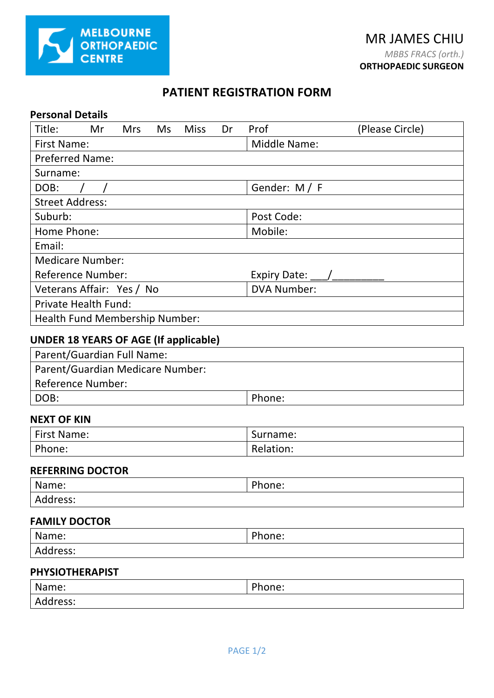

## **PATIENT REGISTRATION FORM**

| <b>Personal Details</b>                               |                                                |  |  |  |
|-------------------------------------------------------|------------------------------------------------|--|--|--|
| Title:<br><b>Miss</b><br>Mr<br><b>Mrs</b><br>Ms<br>Dr | Prof<br>(Please Circle)                        |  |  |  |
| <b>First Name:</b>                                    | <b>Middle Name:</b>                            |  |  |  |
| <b>Preferred Name:</b>                                |                                                |  |  |  |
| Surname:                                              |                                                |  |  |  |
| DOB:                                                  | Gender: M / F                                  |  |  |  |
| <b>Street Address:</b>                                |                                                |  |  |  |
| Suburb:                                               | Post Code:                                     |  |  |  |
| Home Phone:                                           | Mobile:                                        |  |  |  |
| Email:                                                |                                                |  |  |  |
| <b>Medicare Number:</b>                               |                                                |  |  |  |
| <b>Reference Number:</b>                              | Expiry Date: $\_\_\_\_\_\_\_\_\_\_\_\_\_\_\_\$ |  |  |  |
| Veterans Affair: Yes / No                             | <b>DVA Number:</b>                             |  |  |  |
| <b>Private Health Fund:</b>                           |                                                |  |  |  |
| Health Fund Membership Number:                        |                                                |  |  |  |
| <b>UNDER 18 YEARS OF AGE (If applicable)</b>          |                                                |  |  |  |
| Parent/Guardian Full Name:                            |                                                |  |  |  |
| Parent/Guardian Medicare Number:                      |                                                |  |  |  |
| <b>Reference Number:</b>                              |                                                |  |  |  |
| DOB:                                                  | Phone:                                         |  |  |  |
| <b>NEXT OF KIN</b>                                    |                                                |  |  |  |
| <b>First Name:</b>                                    | Surname:                                       |  |  |  |
| Phone:                                                | Relation:                                      |  |  |  |
| <b>REFERRING DOCTOR</b>                               |                                                |  |  |  |
| Name:                                                 | Phone:                                         |  |  |  |
| Address:                                              |                                                |  |  |  |
| <b>FAMILY DOCTOR</b>                                  |                                                |  |  |  |
| Name:                                                 | Phone:                                         |  |  |  |
| Address:                                              |                                                |  |  |  |
| <b>PHYSIOTHERAPIST</b>                                |                                                |  |  |  |

| Name:    | Phone: |
|----------|--------|
| Address: |        |